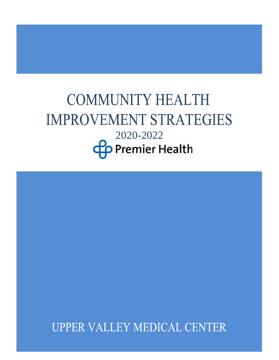# **COMMUNITY HEALTH IMPROVEMENT STRATEGIES** 2020-2022**Co** Premier Health

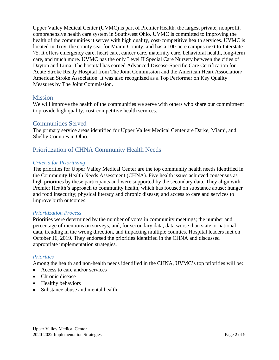Upper Valley Medical Center (UVMC) is part of Premier Health, the largest private, nonprofit, comprehensive health care system in Southwest Ohio. UVMC is committed to improving the health of the communities it serves with high quality, cost-competitive health services. UVMC is located in Troy, the county seat for Miami County, and has a 100-acre campus next to Interstate 75. It offers emergency care, heart care, cancer care, maternity care, behavioral health, long-term care, and much more. UVMC has the only [Level II Special Care Nursery](https://www.premierhealth.com/services/maternity/obstetrics/neonatal-care) between the cities of Dayton and Lima. The hospital has earned Advanced Disease-Specific Care Certification for Acute Stroke Ready Hospital from The Joint Commission and the American Heart Association/ American Stroke Association. It was also recognized as a Top Performer on Key Quality Measures by The Joint Commission.

## **Mission**

We will improve the health of the communities we serve with others who share our commitment to provide high quality, cost-competitive health services.

## Communities Served

The primary service areas identified for Upper Valley Medical Center are Darke, Miami, and Shelby Counties in Ohio.

## Prioritization of CHNA Community Health Needs

#### *Criteria for Prioritizing*

The priorities for Upper Valley Medical Center are the top community health needs identified in the Community Health Needs Assessment (CHNA). Five health issues achieved consensus as high priorities by these participants and were supported by the secondary data. They align with Premier Health's approach to community health, which has focused on substance abuse; hunger and food insecurity; physical literacy and chronic disease; and access to care and services to improve birth outcomes.

#### *Prioritization Process*

Priorities were determined by the number of votes in community meetings; the number and percentage of mentions on surveys; and, for secondary data, data worse than state or national data, trending in the wrong direction, and impacting multiple counties. Hospital leaders met on October 16, 2019. They endorsed the priorities identified in the CHNA and discussed appropriate implementation strategies.

#### *Priorities*

Among the health and non-health needs identified in the CHNA, UVMC's top priorities will be:

- Access to care and/or services
- Chronic disease
- Healthy behaviors
- Substance abuse and mental health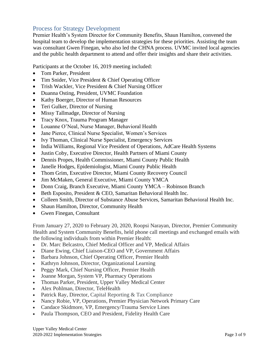## Process for Strategy Development

Premier Health's System Director for Community Benefits, Shaun Hamilton, convened the hospital team to develop the implementation strategies for these priorities. Assisting the team was consultant Gwen Finegan, who also led the CHNA process. UVMC invited local agencies and the public health department to attend and offer their insights and share their activities.

Participants at the October 16, 2019 meeting included:

- Tom Parker, President
- Tim Snider, Vice President & Chief Operating Officer
- Trish Wackler, Vice President & Chief Nursing Officer
- Duanna Osting, President, UVMC Foundation
- Kathy Boerger, Director of Human Resources
- Teri Gulker, Director of Nursing
- Missy Tallmadge, Director of Nursing
- Tracy Knox, Trauma Program Manager
- Louanne O'Neal, Nurse Manager, Behavioral Health
- Jane Pierce, Clinical Nurse Specialist, Women's Services
- Ivy Thoman, Clinical Nurse Specialist, Emergency Services
- India Williams, Regional Vice President of Operations, AdCare Health Systems
- Justin Coby, Executive Director, Health Partners of Miami County
- Dennis Propes, Health Commissioner, Miami County Public Health
- Janelle Hodges, Epidemiologist, Miami County Public Health
- Thom Grim, Executive Director, Miami County Recovery Council
- Jim McMaken, General Executive, Miami County YMCA
- Donn Craig, Branch Executive, Miami County YMCA Robinson Branch
- Beth Esposito, President & CEO, Samaritan Behavioral Health Inc.
- Colleen Smith, Director of Substance Abuse Services, Samaritan Behavioral Health Inc.
- Shaun Hamilton, Director, Community Health
- Gwen Finegan, Consultant

From January 27, 2020 to February 20, 2020, Roopsi Narayan, Director, Premier Community Health and System Community Benefits, held phone call meetings and exchanged emails with the following individuals from within Premier Health:

- Dr. Marc Belcastro, Chief Medical Officer and VP, Medical Affairs
- Diane Ewing, Chief Liaison-CEO and VP, Government Affairs
- Barbara Johnson, Chief Operating Officer, Premier Health
- Kathryn Johnson, Director, Organizational Learning
- Peggy Mark, Chief Nursing Officer, Premier Health
- Joanne Morgan, System VP, Pharmacy Operations
- Thomas Parker, President, Upper Valley Medical Center
- Alex Pohlman, Director, TeleHealth
- Patrick Ray, Director, Capital Reporting & Tax Compliance
- Nancy Robie, VP, Operations, Premier Physician Network Primary Care
- Candace Skidmore, VP, Emergency/Trauma Service Lines
- Paula Thompson, CEO and President, Fidelity Health Care

Upper Valley Medical Center 2020-2022 Implementation Strategies Page 3 of 9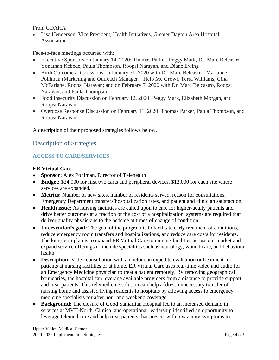From GDAHA

• Lisa Henderson, Vice President, Health Initiatives, Greater Dayton Area Hospital Association

Face-to-face meetings occurred with:

- Executive Sponsors on January 14, 2020: Thomas Parker, Peggy Mark, Dr. Marc Belcastro, Yonathan Kebede, Paula Thompson, Roopsi Narayan, and Diane Ewing
- Birth Outcomes Discussions on January 31, 2020 with Dr. Marc Belcastro, Marianne Pohlman (Marketing and Outreach Manager – Help Me Grow), Terra Williams, Gina McFarlane, Roopsi Narayan; and on February 7, 2020 with Dr. Marc Belcastro, Roopsi Narayan, and Paula Thompson.
- Food Insecurity Discussion on February 12, 2020: Peggy Mark, Elizabeth Morgan, and Roopsi Narayan
- Overdose Response Discussion on February 11, 2020: Thomas Parker, Paula Thompson, and Roopsi Narayan

A description of their proposed strategies follows below.

## Description of Strategies

## **ACCESS TO CARE/SERVICES**

#### **ER Virtual Care**

- **Sponsor:** Alex Pohlman, Director of Telehealth
- **Budget:** \$24,000 for first two carts and peripheral devices. \$12,000 for each site where services are expanded.
- **Metrics:** Number of new sites, number of residents served, reason for consultations, Emergency Department transfers/hospitalization rates, and patient and clinician satisfaction.
- **Health issue:** As nursing facilities are called upon to care for higher-acuity patients and drive better outcomes at a fraction of the cost of a hospitalization, systems are required that deliver quality physicians to the bedside at times of change of condition.
- **Intervention's goal:** The goal of the program is to facilitate early treatment of conditions, reduce emergency room transfers and hospitalizations, and reduce care costs for residents. The long-term plan is to expand ER Virtual Care to nursing facilities across our market and expand service offerings to include specialties such as neurology, wound care, and behavioral health.
- **Description:** Video consultation with a doctor can expedite evaluation or treatment for patients at nursing facilities or at home. ER Virtual Care uses real-time video and audio for an Emergency Medicine physician to treat a patient remotely. By removing geographical boundaries, the hospital can leverage available providers from a distance to provide support and treat patients. This telemedicine solution can help address unnecessary transfer of nursing home and assisted living residents to hospitals by allowing access to emergency medicine specialists for after hour and weekend coverage.
- **Background:** The closure of Good Samaritan Hospital led to an increased demand in services at MVH-North. Clinical and operational leadership identified an opportunity to leverage telemedicine and help treat patients that present with low acuity symptoms to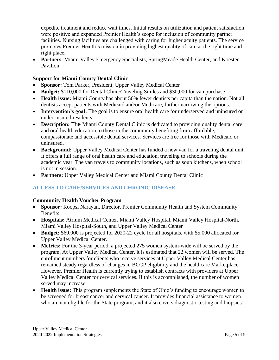expedite treatment and reduce wait times. Initial results on utilization and patient satisfaction were positive and expanded Premier Health's scope for inclusion of community partner facilities. Nursing facilities are challenged with caring for higher acuity patients. The service promotes Premier Health's mission in providing highest quality of care at the right time and right place.

• **Partners**: Miami Valley Emergency Specialists, SpringMeade Health Center, and Koester Pavilion.

#### **Support for Miami County Dental Clinic**

- **Sponsor:** Tom Parker, President, Upper Valley Medical Center
- **Budget:** \$110,000 for Dental Clinic/Traveling Smiles and \$30,000 for van purchase
- **Health issue:** Miami County has about 50% fewer dentists per capita than the nation. Not all dentists accept patients with Medicaid and/or Medicare, further narrowing the options.
- **Intervention's goal:** The goal is to ensure oral health care for underserved and uninsured or under-insured residents.
- **Description:** The Miami County Dental Clinic is dedicated to providing quality dental care and oral health education to those in the community benefiting from affordable, compassionate and accessible dental services. Services are free for those with Medicaid or uninsured.
- **Background:** Upper Valley Medical Center has funded a new van for a traveling dental unit. It offers a full range of oral health care and education, traveling to schools during the academic year. The van travels to community locations, such as soup kitchens, when school is not in session.
- **Partners:** Upper Valley Medical Center and Miami County Dental Clinic

## **ACCESS TO CARE/SERVICES AND CHRONIC DISEASE**

#### **Community Health Voucher Program**

- **Sponsor:** Roopsi Narayan, Director, Premier Community Health and System Community **Benefits**
- **Hospitals:** Atrium Medical Center, Miami Valley Hospital, Miami Valley Hospital-North, Miami Valley Hospital-South, and Upper Valley Medical Center
- **Budget:** \$69,000 is projected for 2020-22 cycle for all hospitals, with \$5,000 allocated for Upper Valley Medical Center.
- **Metrics:** For the 3-year period, a projected 275 women system-wide will be served by the program. At Upper Valley Medical Center, it is estimated that 22 women will be served. The enrollment numbers for clients who receive services at Upper Valley Medical Center has remained steady regardless of changes in BCCP eligibility and the healthcare Marketplace. However, Premier Health is currently trying to establish contracts with providers at Upper Valley Medical Center for cervical services. If this is accomplished, the number of women served may increase.
- **Health issue:** This program supplements the State of Ohio's funding to encourage women to be screened for breast cancer and cervical cancer. It provides financial assistance to women who are not eligible for the State program, and it also covers diagnostic testing and biopsies.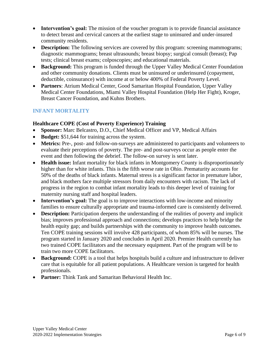- **Intervention's goal:** The mission of the voucher program is to provide financial assistance to detect breast and cervical cancers at the earliest stage to uninsured and under-insured community residents.
- **Description:** The following services are covered by this program: screening mammograms; diagnostic mammograms; breast ultrasounds; breast biopsy; surgical consult (breast); Pap tests; clinical breast exams; colposcopies; and educational materials.
- **Background:** This program is funded through the Upper Valley Medical Center Foundation and other community donations. Clients must be uninsured or underinsured (copayment, deductible, coinsurance) with income at or below 400% of Federal Poverty Level.
- **Partners**: Atrium Medical Center, Good Samaritan Hospital Foundation, Upper Valley Medical Center Foundations, Miami Valley Hospital Foundation (Help Her Fight), Kroger, Breast Cancer Foundation, and Kuhns Brothers.

## **INFANT MORTALITY**

## **Healthcare COPE (Cost of Poverty Experience) Training**

- **Sponsor:** Marc Belcastro, D.O., Chief Medical Officer and VP, Medical Affairs
- **Budget:** \$51,644 for training across the system.
- **Metrics:** Pre-, post- and follow-on-surveys are administered to participants and volunteers to evaluate their perceptions of poverty. The pre- and post-surveys occur as people enter the event and then following the debrief. The follow-on survey is sent later.
- **Health issue:** Infant mortality for black infants in Montgomery County is disproportionately higher than for white infants. This is the fifth worse rate in Ohio. Prematurity accounts for 50% of the deaths of black infants. Maternal stress is a significant factor in premature labor, and black mothers face multiple stressors from daily encounters with racism. The lack of progress in the region to combat infant mortality leads to this deeper level of training for maternity nursing staff and hospital leaders.
- **Intervention's goal:** The goal is to improve interactions with low-income and minority families to ensure culturally appropriate and trauma-informed care is consistently delivered.
- **Description:** Participation deepens the understanding of the realities of poverty and implicit bias; improves professional approach and connections; develops practices to help bridge the health equity gap; and builds partnerships with the community to improve health outcomes. Ten COPE training sessions will involve 428 participants, of whom 85% will be nurses. The program started in January 2020 and concludes in April 2020. Premier Health currently has two trained COPE facilitators and the necessary equipment. Part of the program will be to train two more COPE facilitators.
- **Background:** COPE is a tool that helps hospitals build a culture and infrastructure to deliver care that is equitable for all patient populations. A Healthcare version is targeted for health professionals.
- **Partner:** Think Tank and Samaritan Behavioral Health Inc.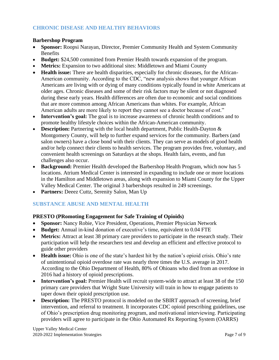## **CHRONIC DISEASE AND HEALTHY BEHAVIORS**

#### **Barbershop Program**

- **Sponsor:** Roopsi Narayan, Director, Premier Community Health and System Community **Benefits**
- **Budget:** \$24,500 committed from Premier Health towards expansion of the program.
- **Metrics:** Expansion to two additional sites: Middletown and Miami County
- **Health issue:** There are health disparities, especially for chronic diseases, for the African-American community. According to the CDC, "new analysis shows that younger African Americans are living with or dying of many conditions typically found in white Americans at older ages. Chronic diseases and some of their risk factors may be silent or not diagnosed during these early years. Health differences are often due to economic and social conditions that are more common among African Americans than whites. For example, African American adults are more likely to report they cannot see a doctor because of cost."
- **Intervention's goal:** The goal is to increase awareness of chronic health conditions and to promote healthy lifestyle choices within the African-American community.
- **Description:** Partnering with the local health department, Public Health-Dayton  $\&$ Montgomery County, will help to further expand services for the community. Barbers (and salon owners) have a close bond with their clients. They can serve as models of good health and/or help connect their clients to health services. The program provides free, voluntary, and convenient health screenings on Saturdays at the shops. Health fairs, events, and fun challenges also occur.
- **Background:** Premier Health developed the Barbershop Health Program, which now has 5 locations. Atrium Medical Center is interested in expanding to include one or more locations in the Hamilton and Middletown areas, along with expansion to Miami County for the Upper Valley Medical Center. The original 3 barbershops resulted in 249 screenings.
- **Partners:** Deeez Cuttz, Serenity Salon, Man Up

## **SUBSTANCE ABUSE AND MENTAL HEALTH**

## **PRESTO (PRomoting Engagement for Safe Training of Opioids)**

- **Sponsor:** Nancy Robie, Vice President, Operations, Premier Physician Network
- **Budget:** Annual in-kind donation of executive's time, equivalent to 0.04 FTE
- **Metrics:** Attract at least 38 primary care providers to participate in the research study. Their participation will help the researchers test and develop an efficient and effective protocol to guide other providers
- **Health issue:** Ohio is one of the state's hardest hit by the nation's opioid crisis. Ohio's rate of unintentional opioid overdose rate was nearly three times the U.S. average in 2017. According to the Ohio Department of Health, 80% of Ohioans who died from an overdose in 2016 had a history of opioid prescriptions.
- **Intervention's goal:** Premier Health will recruit system-wide to attract at least 38 of the 150 primary care providers that Wright State University will train in how to engage patients to taper down their opioid prescription use.
- **Description:** The PRESTO protocol is modeled on the SBIRT approach of screening, brief intervention, and referral to treatment. It incorporates CDC opioid prescribing guidelines, use of Ohio's prescription drug monitoring program, and motivational interviewing. Participating providers will agree to participate in the Ohio Automated Rx Reporting System (OARRS)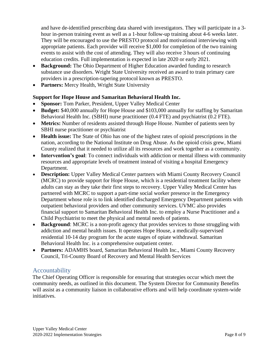and have de-identified prescribing data shared with investigators. They will participate in a 3 hour in-person training event as well as a 1-hour follow-up training about 4-6 weeks later. They will be encouraged to use the PRESTO protocol and motivational interviewing with appropriate patients. Each provider will receive \$1,000 for completion of the two training events to assist with the cost of attending. They will also receive 3 hours of continuing education credits. Full implementation is expected in late 2020 or early 2021.

- **Background:** The Ohio Department of Higher Education awarded funding to research substance use disorders. Wright State University received an award to train primary care providers in a prescription-tapering protocol known as PRESTO.
- Partners: Mercy Health, Wright State University

## **Support for Hope House and Samaritan Behavioral Health Inc.**

- **Sponsor:** Tom Parker, President, Upper Valley Medical Center
- **Budget:** \$40,000 annually for Hope House and \$103,000 annually for staffing by Samaritan Behavioral Health Inc. (SBHI) nurse practitioner (0.4 FTE) and psychiatrist (0.2 FTE).
- **Metrics:** Number of residents assisted through Hope House. Number of patients seen by SBHI nurse practitioner or psychiatrist
- **Health issue:** The State of Ohio has one of the highest rates of opioid prescriptions in the nation, according to the National Institute on Drug Abuse. As the opioid crisis grew, Miami County realized that it needed to utilize all its resources and work together as a community.
- **Intervention's goal**: To connect individuals with addiction or mental illness with community resources and appropriate levels of treatment instead of visiting a hospital Emergency Department.
- **Description:** Upper Valley Medical Center partners with Miami County Recovery Council (MCRC) to provide support for Hope House, which is a residential treatment facility where adults can stay as they take their first steps to recovery. Upper Valley Medical Center has partnered with MCRC to support a part-time social worker presence in the Emergency Department whose role is to link identified discharged Emergency Department patients with outpatient behavioral providers and other community services. UVMC also provides financial support to Samaritan Behavioral Health Inc. to employ a Nurse Practitioner and a Child Psychiatrist to meet the physical and mental needs of patients.
- **Background**: MCRC is a non-profit agency that provides services to those struggling with addiction and mental health issues. It operates Hope House, a medically-supervised residential 10-14 day program for the acute stages of opiate withdrawal. Samaritan Behavioral Health Inc. is a comprehensive outpatient center.
- **Partners:** ADAMHS board, Samaritan Behavioral Health Inc., Miami County Recovery Council, Tri-County Board of Recovery and Mental Health Services

## Accountability

The Chief Operating Officer is responsible for ensuring that strategies occur which meet the community needs, as outlined in this document. The System Director for Community Benefits will assist as a community liaison in collaborative efforts and will help coordinate system-wide initiatives.